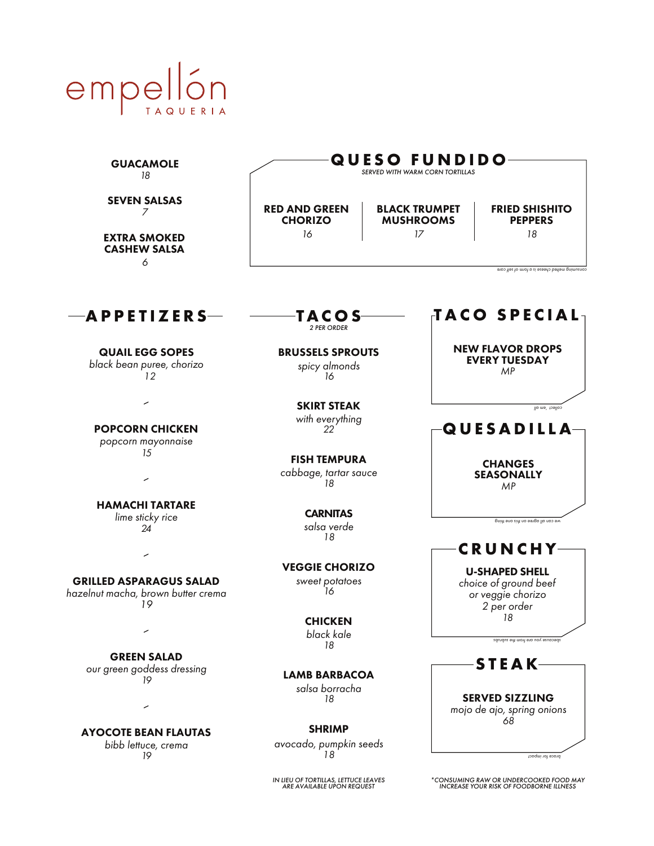

| <b>GUACAMOLE</b><br>18                                                               | <b>QUESO FUNDIDO</b><br>SERVED WITH WARM CORN TORTILLAS                       |                                                |                                                                                                                                                |
|--------------------------------------------------------------------------------------|-------------------------------------------------------------------------------|------------------------------------------------|------------------------------------------------------------------------------------------------------------------------------------------------|
| <b>SEVEN SALSAS</b><br>7<br><b>EXTRA SMOKED</b><br><b>CASHEW SALSA</b>               | <b>RED AND GREEN</b><br><b>CHORIZO</b><br>16                                  | <b>BLACK TRUMPET</b><br><b>MUSHROOMS</b><br>17 | <b>FRIED SHISHITO</b><br><b>PEPPERS</b><br>18                                                                                                  |
| 6                                                                                    |                                                                               |                                                | supplies to mich cheese is a form of self care                                                                                                 |
| APPETIZERS                                                                           | <b>TACOS</b><br><b>2 PER ORDER</b>                                            |                                                | TACO SPECIAL                                                                                                                                   |
| <b>QUAIL EGG SOPES</b><br>black bean puree, chorizo<br>12                            | <b>BRUSSELS SPROUTS</b><br>spicy almonds<br>16                                |                                                | <b>NEW FLAVOR DROPS</b><br><b>EVERY TUESDAY</b><br>MP                                                                                          |
| ╱<br><b>POPCORN CHICKEN</b>                                                          | <b>SKIRT STEAK</b><br>with everything<br>22                                   |                                                | collect 'en all<br>QUESADILLA                                                                                                                  |
| popcorn mayonnaise<br>15<br>╱                                                        | <b>FISH TEMPURA</b><br>cabbage, tartar sauce<br>18                            |                                                | <b>CHANGES</b><br><b>SEASONALLY</b><br>MP                                                                                                      |
| <b>HAMACHI TARTARE</b><br>lime sticky rice<br>24                                     | <b>CARNITAS</b><br>salsa verde<br>18                                          |                                                | we can all agree on this one thing                                                                                                             |
| ╱<br><b>GRILLED ASPARAGUS SALAD</b><br>hazelnut macha, brown butter crema<br>19<br>╱ | <b>VEGGIE CHORIZO</b><br>sweet potatoes<br>16<br><b>CHICKEN</b><br>black kale |                                                | <b>CRUNCHY-</b><br><b>U-SHAPED SHELL</b><br>choice of ground beef<br>or veggie chorizo<br>2 per order<br>18<br>sdurdus of mon trom the subrubs |
| <b>GREEN SALAD</b><br>our green goddess dressing<br>19                               | 18<br><b>LAMB BARBACOA</b><br>salsa borracha<br>18                            |                                                | <b>STEAK-</b><br><b>SERVED SIZZLING</b>                                                                                                        |
| ╱<br><b>AYOCOTE BEAN FLAUTAS</b><br>bibb lettuce, crema<br>19                        | <b>SHRIMP</b><br>avocado, pumpkin seeds<br>18                                 |                                                | mojo de ajo, spring onions<br>68<br>brace for impact                                                                                           |
|                                                                                      | IN LIEU OF TORTILLAS, LETTUCE LEAVES<br>ARE AVAILABLE UPON REQUEST            |                                                | *CONSUMING RAW OR UNDERCOOKED FOOD MAY<br><b>INCREASE YOUR RISK OF FOODBORNE ILLNESS</b>                                                       |